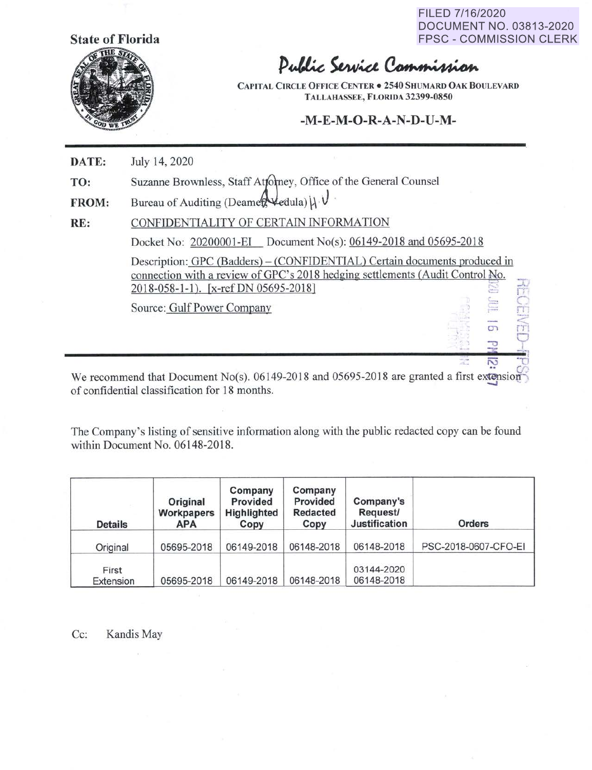**State of Florida** 

FILED 7/16/2020 DOCUMENT NO. 03813-2020 FPSC - COMMISSION CLERK

n~

 $\overline{\sim}$ 



Public Service Commission

**CAPITAL CIRCLE OFFICE CENTER . 2540 SHUMARD OAK BOULEVARD TALLAHASSEE, FLORIDA 32399-0850** 

## **-M-E-M-O-R-A-N-D-U-M-**

**DATE:**  July 14, 2020

**TO:**  Suzanne Brownless, Staff Attorney, Office of the General Counsel

**FROM:**  Bureau of Auditing (Deamer Vedula)  $\vert \lambda \cdot \nu \vert$ 

**RE:**  CONFIDENTIALITY OF CERTAIN INFORMATION

Docket No: 20200001-EI Document No(s): 06149-2018 and 05695-2018

Description: GPC (Badders) – (CONFIDENTIAL) Certain documents produced in connection with a review of GPC's 2018 hedging settlements (Audit Control No. 2018-058-1-1). (x-ref DN 05695-2018) <sup>~</sup>  $\vec{r}$  $\circ$ 

Source: Gulf Power Company

We recommend that Document No(s). 06149-2018 and 05695-2018 are granted a first extension of confidential classification for 18 months. \_,

The Company's listing of sensitive information along with the public redacted copy can be found within Document No. 06148-2018.

| <b>Details</b>     | Original<br>Workpapers<br><b>APA</b> | Company<br>Provided<br>Highlighted<br>Copy | Company<br>Provided<br><b>Redacted</b><br>Copy | Company's<br>Request/<br><b>Justification</b> | <b>Orders</b>        |
|--------------------|--------------------------------------|--------------------------------------------|------------------------------------------------|-----------------------------------------------|----------------------|
| Original           | 05695-2018                           | 06149-2018                                 | 06148-2018                                     | 06148-2018                                    | PSC-2018-0607-CFO-EI |
| First<br>Extension | 05695-2018                           | 06149-2018                                 | 06148-2018                                     | 03144-2020<br>06148-2018                      |                      |

Cc: Kandis May